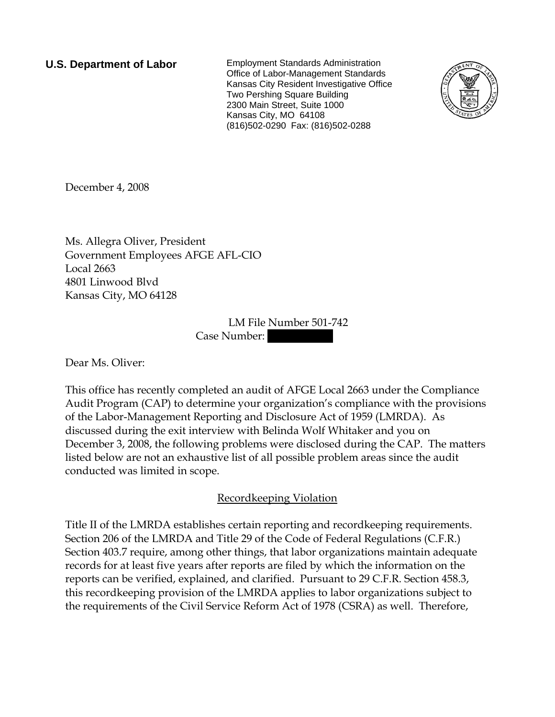**U.S. Department of Labor** Employment Standards Administration Office of Labor-Management Standards Kansas City Resident Investigative Office Two Pershing Square Building 2300 Main Street, Suite 1000 Kansas City, MO 64108 (816)502-0290 Fax: (816)502-0288



December 4, 2008

Ms. Allegra Oliver, President Government Employees AFGE AFL-CIO Local 2663 4801 Linwood Blvd Kansas City, MO 64128

> LM File Number 501-742 Case Number:

Dear Ms. Oliver:

This office has recently completed an audit of AFGE Local 2663 under the Compliance Audit Program (CAP) to determine your organization's compliance with the provisions of the Labor-Management Reporting and Disclosure Act of 1959 (LMRDA). As discussed during the exit interview with Belinda Wolf Whitaker and you on December 3, 2008, the following problems were disclosed during the CAP. The matters listed below are not an exhaustive list of all possible problem areas since the audit conducted was limited in scope.

Recordkeeping Violation

Title II of the LMRDA establishes certain reporting and recordkeeping requirements. Section 206 of the LMRDA and Title 29 of the Code of Federal Regulations (C.F.R.) Section 403.7 require, among other things, that labor organizations maintain adequate records for at least five years after reports are filed by which the information on the reports can be verified, explained, and clarified. Pursuant to 29 C.F.R. Section 458.3, this recordkeeping provision of the LMRDA applies to labor organizations subject to the requirements of the Civil Service Reform Act of 1978 (CSRA) as well. Therefore,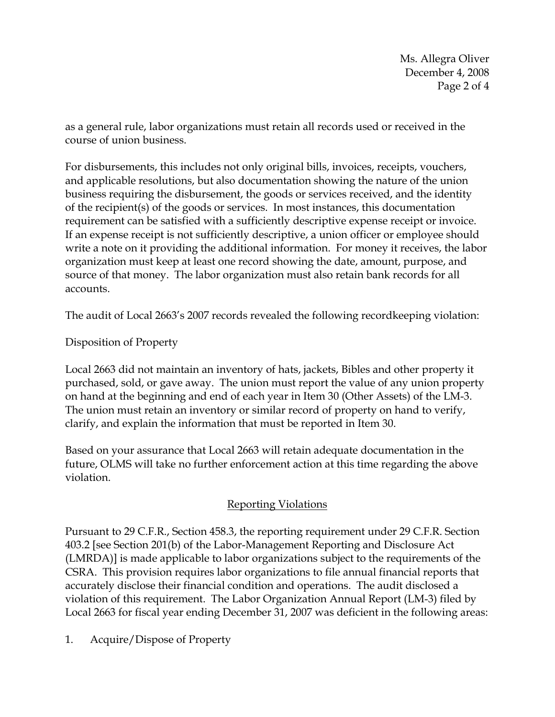Ms. Allegra Oliver December 4, 2008 Page 2 of 4

as a general rule, labor organizations must retain all records used or received in the course of union business.

For disbursements, this includes not only original bills, invoices, receipts, vouchers, and applicable resolutions, but also documentation showing the nature of the union business requiring the disbursement, the goods or services received, and the identity of the recipient(s) of the goods or services. In most instances, this documentation requirement can be satisfied with a sufficiently descriptive expense receipt or invoice. If an expense receipt is not sufficiently descriptive, a union officer or employee should write a note on it providing the additional information. For money it receives, the labor organization must keep at least one record showing the date, amount, purpose, and source of that money. The labor organization must also retain bank records for all accounts.

The audit of Local 2663's 2007 records revealed the following recordkeeping violation:

Disposition of Property

Local 2663 did not maintain an inventory of hats, jackets, Bibles and other property it purchased, sold, or gave away. The union must report the value of any union property on hand at the beginning and end of each year in Item 30 (Other Assets) of the LM-3. The union must retain an inventory or similar record of property on hand to verify, clarify, and explain the information that must be reported in Item 30.

Based on your assurance that Local 2663 will retain adequate documentation in the future, OLMS will take no further enforcement action at this time regarding the above violation.

## Reporting Violations

Pursuant to 29 C.F.R., Section 458.3, the reporting requirement under 29 C.F.R. Section 403.2 [see Section 201(b) of the Labor-Management Reporting and Disclosure Act (LMRDA)] is made applicable to labor organizations subject to the requirements of the CSRA. This provision requires labor organizations to file annual financial reports that accurately disclose their financial condition and operations. The audit disclosed a violation of this requirement. The Labor Organization Annual Report (LM-3) filed by Local 2663 for fiscal year ending December 31, 2007 was deficient in the following areas:

1. Acquire/Dispose of Property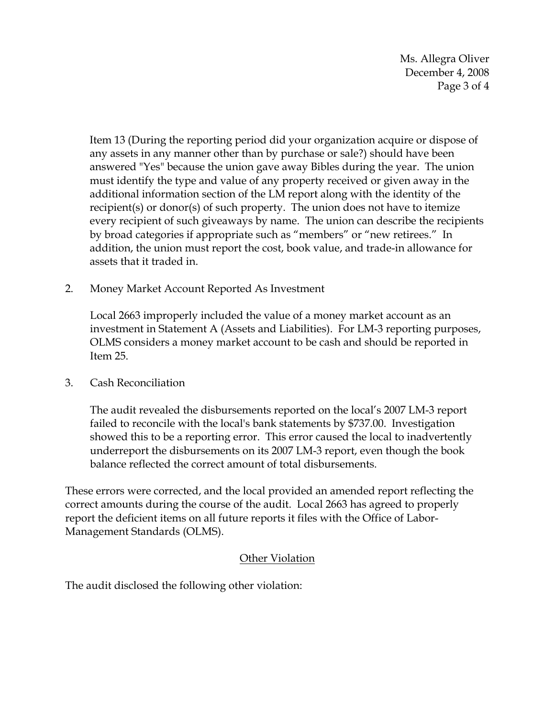Ms. Allegra Oliver December 4, 2008 Page 3 of 4

Item 13 (During the reporting period did your organization acquire or dispose of any assets in any manner other than by purchase or sale?) should have been answered "Yes" because the union gave away Bibles during the year. The union must identify the type and value of any property received or given away in the additional information section of the LM report along with the identity of the recipient(s) or donor(s) of such property. The union does not have to itemize every recipient of such giveaways by name. The union can describe the recipients by broad categories if appropriate such as "members" or "new retirees." In addition, the union must report the cost, book value, and trade-in allowance for assets that it traded in.

2. Money Market Account Reported As Investment

Local 2663 improperly included the value of a money market account as an investment in Statement A (Assets and Liabilities). For LM-3 reporting purposes, OLMS considers a money market account to be cash and should be reported in Item 25.

3. Cash Reconciliation

The audit revealed the disbursements reported on the local's 2007 LM-3 report failed to reconcile with the local's bank statements by \$737.00. Investigation showed this to be a reporting error. This error caused the local to inadvertently underreport the disbursements on its 2007 LM-3 report, even though the book balance reflected the correct amount of total disbursements.

These errors were corrected, and the local provided an amended report reflecting the correct amounts during the course of the audit. Local 2663 has agreed to properly report the deficient items on all future reports it files with the Office of Labor-Management Standards (OLMS).

## Other Violation

The audit disclosed the following other violation: